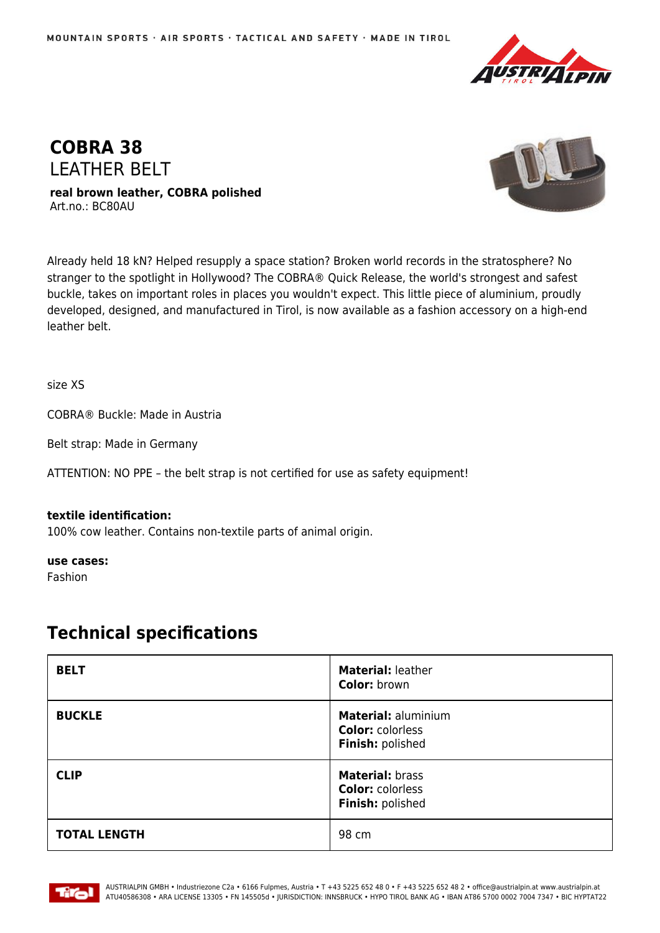



**real brown leather, COBRA polished** Art.no.: BC80AU



Already held 18 kN? Helped resupply a space station? Broken world records in the stratosphere? No stranger to the spotlight in Hollywood? The COBRA® Quick Release, the world's strongest and safest buckle, takes on important roles in places you wouldn't expect. This little piece of aluminium, proudly developed, designed, and manufactured in Tirol, is now available as a fashion accessory on a high-end leather belt.

size XS

COBRA® Buckle: Made in Austria

Belt strap: Made in Germany

ATTENTION: NO PPE – the belt strap is not certified for use as safety equipment!

## **textile identification:**

100% cow leather. Contains non-textile parts of animal origin.

**use cases:**

Fashion

## **Technical specifications**

| <b>BELT</b>         | Material: leather<br><b>Color: brown</b>                           |
|---------------------|--------------------------------------------------------------------|
| <b>BUCKLE</b>       | Material: aluminium<br><b>Color: colorless</b><br>Finish: polished |
| <b>CLIP</b>         | Material: brass<br><b>Color: colorless</b><br>Finish: polished     |
| <b>TOTAL LENGTH</b> | 98 cm                                                              |